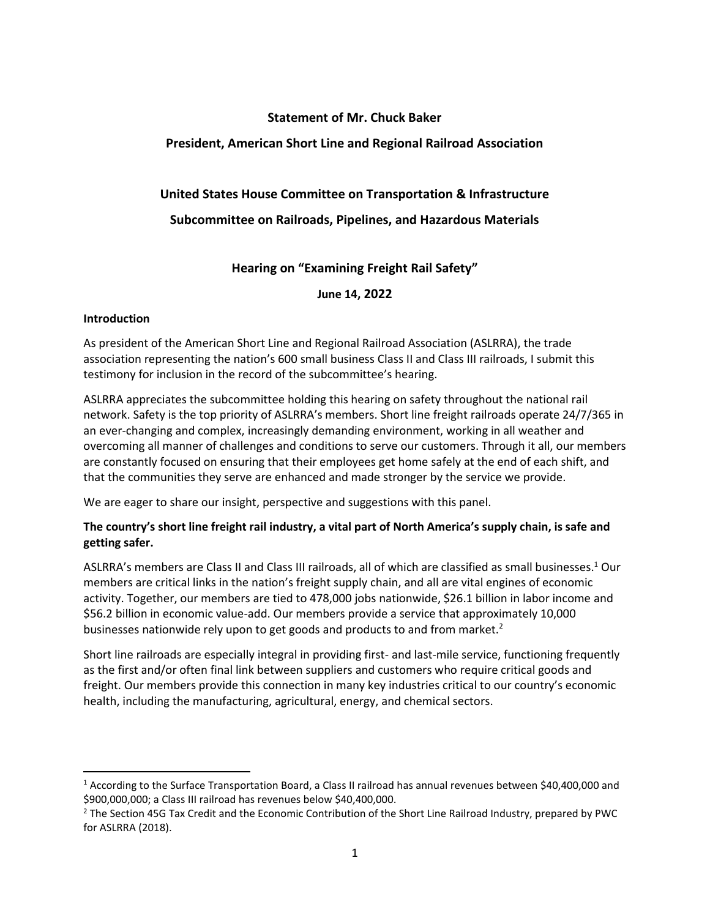## **Statement of Mr. Chuck Baker**

### **President, American Short Line and Regional Railroad Association**

## **United States House Committee on Transportation & Infrastructure**

## **Subcommittee on Railroads, Pipelines, and Hazardous Materials**

### **Hearing on "Examining Freight Rail Safety"**

**June 14, 2022**

#### **Introduction**

As president of the American Short Line and Regional Railroad Association (ASLRRA), the trade association representing the nation's 600 small business Class II and Class III railroads, I submit this testimony for inclusion in the record of the subcommittee's hearing.

ASLRRA appreciates the subcommittee holding this hearing on safety throughout the national rail network. Safety is the top priority of ASLRRA's members. Short line freight railroads operate 24/7/365 in an ever-changing and complex, increasingly demanding environment, working in all weather and overcoming all manner of challenges and conditions to serve our customers. Through it all, our members are constantly focused on ensuring that their employees get home safely at the end of each shift, and that the communities they serve are enhanced and made stronger by the service we provide.

We are eager to share our insight, perspective and suggestions with this panel.

# **The country's short line freight rail industry, a vital part of North America's supply chain, is safe and getting safer.**

ASLRRA's members are Class II and Class III railroads, all of which are classified as small businesses.<sup>1</sup> Our members are critical links in the nation's freight supply chain, and all are vital engines of economic activity. Together, our members are tied to 478,000 jobs nationwide, \$26.1 billion in labor income and \$56.2 billion in economic value-add. Our members provide a service that approximately 10,000 businesses nationwide rely upon to get goods and products to and from market.<sup>2</sup>

Short line railroads are especially integral in providing first- and last-mile service, functioning frequently as the first and/or often final link between suppliers and customers who require critical goods and freight. Our members provide this connection in many key industries critical to our country's economic health, including the manufacturing, agricultural, energy, and chemical sectors.

<sup>1</sup> According to the Surface Transportation Board, a Class II railroad has annual revenues between \$40,400,000 and \$900,000,000; a Class III railroad has revenues below \$40,400,000.

<sup>&</sup>lt;sup>2</sup> The Section 45G Tax Credit and the Economic Contribution of the Short Line Railroad Industry, prepared by PWC for ASLRRA (2018).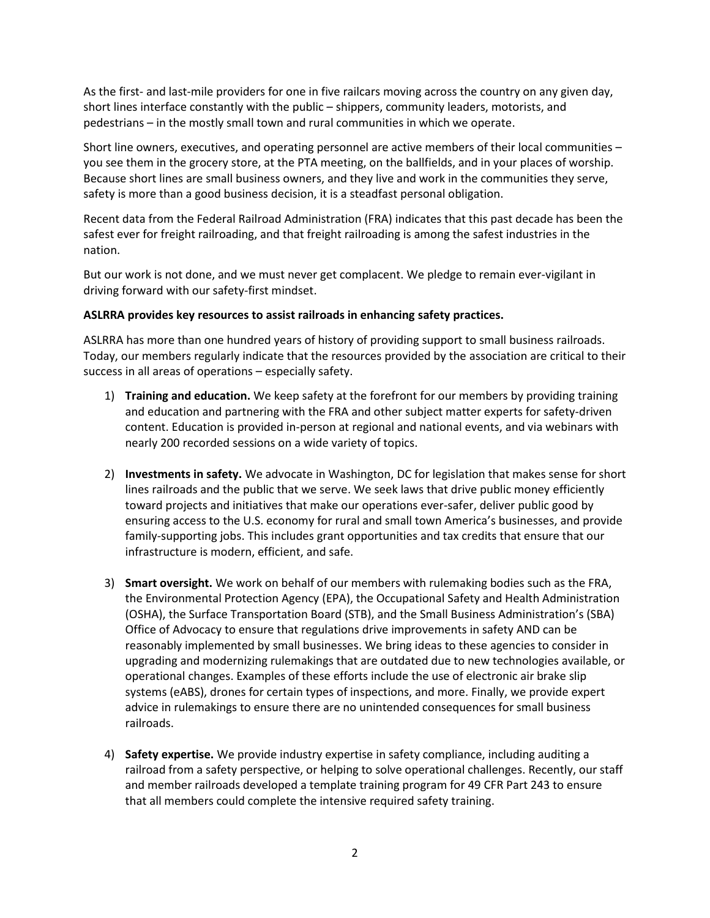As the first- and last-mile providers for one in five railcars moving across the country on any given day, short lines interface constantly with the public – shippers, community leaders, motorists, and pedestrians – in the mostly small town and rural communities in which we operate.

Short line owners, executives, and operating personnel are active members of their local communities – you see them in the grocery store, at the PTA meeting, on the ballfields, and in your places of worship. Because short lines are small business owners, and they live and work in the communities they serve, safety is more than a good business decision, it is a steadfast personal obligation.

Recent data from the Federal Railroad Administration (FRA) indicates that this past decade has been the safest ever for freight railroading, and that freight railroading is among the safest industries in the nation.

But our work is not done, and we must never get complacent. We pledge to remain ever-vigilant in driving forward with our safety-first mindset.

#### **ASLRRA provides key resources to assist railroads in enhancing safety practices.**

ASLRRA has more than one hundred years of history of providing support to small business railroads. Today, our members regularly indicate that the resources provided by the association are critical to their success in all areas of operations – especially safety.

- 1) **Training and education.** We keep safety at the forefront for our members by providing training and education and partnering with the FRA and other subject matter experts for safety-driven content. Education is provided in-person at regional and national events, and via webinars with nearly 200 recorded sessions on a wide variety of topics.
- 2) **Investments in safety.** We advocate in Washington, DC for legislation that makes sense for short lines railroads and the public that we serve. We seek laws that drive public money efficiently toward projects and initiatives that make our operations ever-safer, deliver public good by ensuring access to the U.S. economy for rural and small town America's businesses, and provide family-supporting jobs. This includes grant opportunities and tax credits that ensure that our infrastructure is modern, efficient, and safe.
- 3) **Smart oversight.** We work on behalf of our members with rulemaking bodies such as the FRA, the Environmental Protection Agency (EPA), the Occupational Safety and Health Administration (OSHA), the Surface Transportation Board (STB), and the Small Business Administration's (SBA) Office of Advocacy to ensure that regulations drive improvements in safety AND can be reasonably implemented by small businesses. We bring ideas to these agencies to consider in upgrading and modernizing rulemakings that are outdated due to new technologies available, or operational changes. Examples of these efforts include the use of electronic air brake slip systems (eABS), drones for certain types of inspections, and more. Finally, we provide expert advice in rulemakings to ensure there are no unintended consequences for small business railroads.
- 4) **Safety expertise.** We provide industry expertise in safety compliance, including auditing a railroad from a safety perspective, or helping to solve operational challenges. Recently, our staff and member railroads developed a template training program for 49 CFR Part 243 to ensure that all members could complete the intensive required safety training.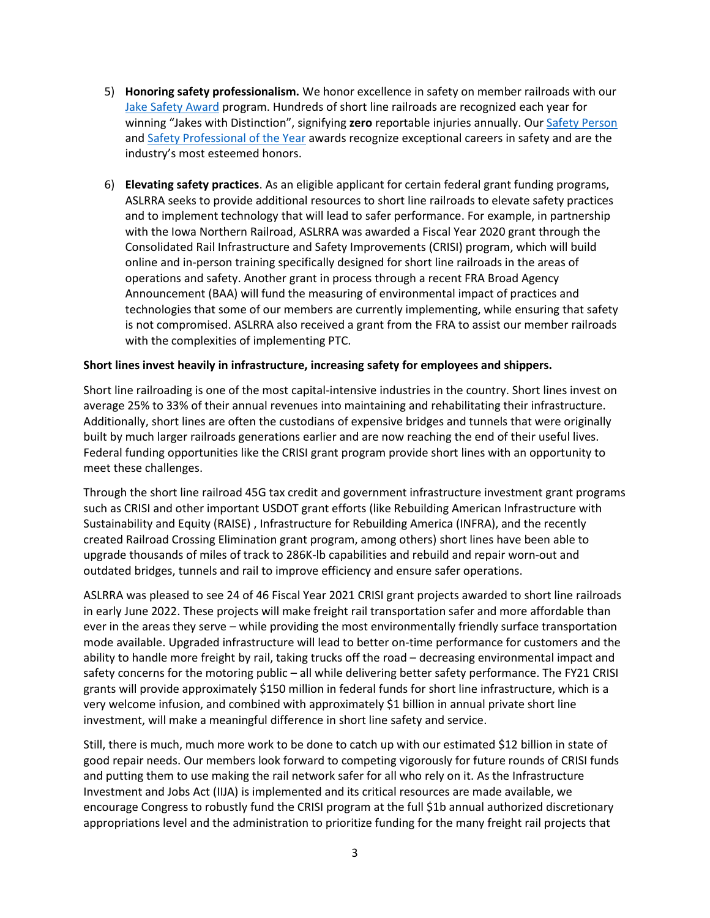- 5) **Honoring safety professionalism.** We honor excellence in safety on member railroads with our [Jake Safety Award](https://www.aslrra.org/about-us/industry-awards-recognition/safety-awards/) program. Hundreds of short line railroads are recognized each year for winning "Jakes with Distinction", signifying **zero** reportable injuries annually. Ou[r Safety Person](https://www.aslrra.org/about-us/industry-awards-recognition/safety-awards/safety-person-of-the-year-award/) and [Safety Professional of the Year](https://www.aslrra.org/about-us/industry-awards-recognition/safety-awards/safety-professional-of-the-year-award/) awards recognize exceptional careers in safety and are the industry's most esteemed honors.
- 6) **Elevating safety practices**. As an eligible applicant for certain federal grant funding programs, ASLRRA seeks to provide additional resources to short line railroads to elevate safety practices and to implement technology that will lead to safer performance. For example, in partnership with the Iowa Northern Railroad, ASLRRA was awarded a Fiscal Year 2020 grant through the Consolidated Rail Infrastructure and Safety Improvements (CRISI) program, which will build online and in-person training specifically designed for short line railroads in the areas of operations and safety. Another grant in process through a recent FRA Broad Agency Announcement (BAA) will fund the measuring of environmental impact of practices and technologies that some of our members are currently implementing, while ensuring that safety is not compromised. ASLRRA also received a grant from the FRA to assist our member railroads with the complexities of implementing PTC.

#### **Short lines invest heavily in infrastructure, increasing safety for employees and shippers.**

Short line railroading is one of the most capital-intensive industries in the country. Short lines invest on average 25% to 33% of their annual revenues into maintaining and rehabilitating their infrastructure. Additionally, short lines are often the custodians of expensive bridges and tunnels that were originally built by much larger railroads generations earlier and are now reaching the end of their useful lives. Federal funding opportunities like the CRISI grant program provide short lines with an opportunity to meet these challenges.

Through the short line railroad 45G tax credit and government infrastructure investment grant programs such as CRISI and other important USDOT grant efforts (like Rebuilding American Infrastructure with Sustainability and Equity (RAISE) , Infrastructure for Rebuilding America (INFRA), and the recently created Railroad Crossing Elimination grant program, among others) short lines have been able to upgrade thousands of miles of track to 286K-lb capabilities and rebuild and repair worn-out and outdated bridges, tunnels and rail to improve efficiency and ensure safer operations.

ASLRRA was pleased to see 24 of 46 Fiscal Year 2021 CRISI grant projects awarded to short line railroads in early June 2022. These projects will make freight rail transportation safer and more affordable than ever in the areas they serve – while providing the most environmentally friendly surface transportation mode available. Upgraded infrastructure will lead to better on-time performance for customers and the ability to handle more freight by rail, taking trucks off the road – decreasing environmental impact and safety concerns for the motoring public – all while delivering better safety performance. The FY21 CRISI grants will provide approximately \$150 million in federal funds for short line infrastructure, which is a very welcome infusion, and combined with approximately \$1 billion in annual private short line investment, will make a meaningful difference in short line safety and service.

Still, there is much, much more work to be done to catch up with our estimated \$12 billion in state of good repair needs. Our members look forward to competing vigorously for future rounds of CRISI funds and putting them to use making the rail network safer for all who rely on it. As the Infrastructure Investment and Jobs Act (IIJA) is implemented and its critical resources are made available, we encourage Congress to robustly fund the CRISI program at the full \$1b annual authorized discretionary appropriations level and the administration to prioritize funding for the many freight rail projects that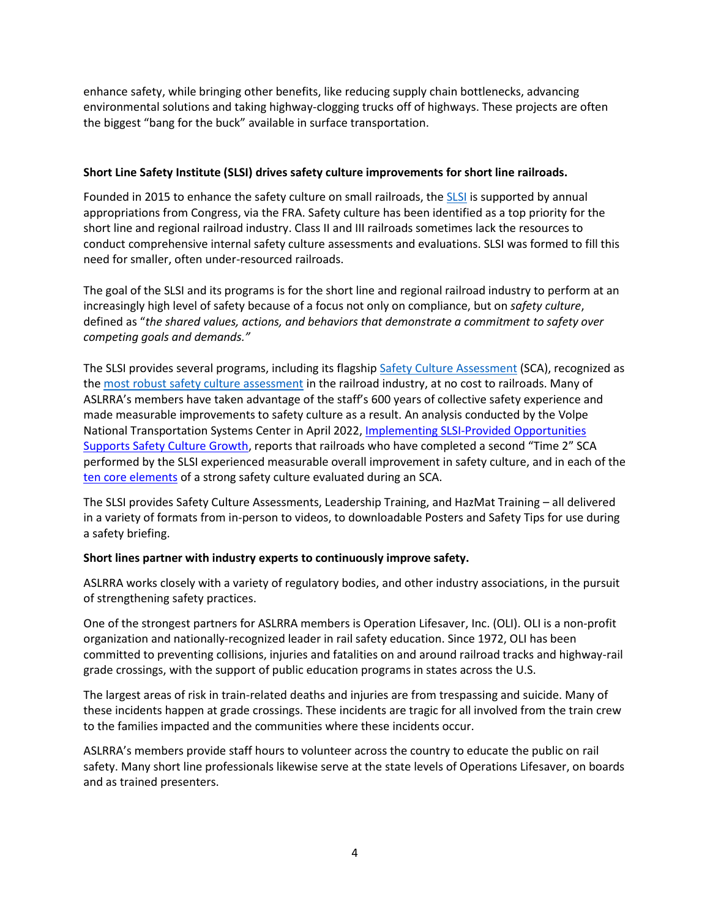enhance safety, while bringing other benefits, like reducing supply chain bottlenecks, advancing environmental solutions and taking highway-clogging trucks off of highways. These projects are often the biggest "bang for the buck" available in surface transportation.

### **Short Line Safety Institute (SLSI) drives safety culture improvements for short line railroads.**

Founded in 2015 to enhance the safety culture on small railroads, the [SLSI](http://www.shortlinesafety.org/) is supported by annual appropriations from Congress, via the FRA. Safety culture has been identified as a top priority for the short line and regional railroad industry. Class II and III railroads sometimes lack the resources to conduct comprehensive internal safety culture assessments and evaluations. SLSI was formed to fill this need for smaller, often under-resourced railroads.

The goal of the SLSI and its programs is for the short line and regional railroad industry to perform at an increasingly high level of safety because of a focus not only on compliance, but on *safety culture*, defined as "*the shared values, actions, and behaviors that demonstrate a commitment to safety over competing goals and demands."*

The SLSI provides several programs, including its flagshi[p Safety Culture Assessment](https://www.shortlinesafety.org/safety-culture-assessment2/) (SCA), recognized as th[e most robust safety culture assessment](https://www.shortlinesafety.org/wp-content/uploads/2019/06/SLSI-Model-for-Assessing-Safety-Culture.pdf) in the railroad industry, at no cost to railroads. Many of ASLRRA's members have taken advantage of the staff's 600 years of collective safety experience and made measurable improvements to safety culture as a result. An analysis conducted by the Volpe National Transportation Systems Center in April 2022, [Implementing SLSI-Provided Opportunities](https://railroads.dot.gov/sites/fra.dot.gov/files/2022-04/SLSI-Issued%20Opps%20Support.pdf)  [Supports Safety Culture Growth](https://railroads.dot.gov/sites/fra.dot.gov/files/2022-04/SLSI-Issued%20Opps%20Support.pdf), reports that railroads who have completed a second "Time 2" SCA performed by the SLSI experienced measurable overall improvement in safety culture, and in each of the [ten core elements](https://www.shortlinesafety.org/about/strong-safety-culture/) of a strong safety culture evaluated during an SCA.

The SLSI provides Safety Culture Assessments, Leadership Training, and HazMat Training – all delivered in a variety of formats from in-person to videos, to downloadable Posters and Safety Tips for use during a safety briefing.

# **Short lines partner with industry experts to continuously improve safety.**

ASLRRA works closely with a variety of regulatory bodies, and other industry associations, in the pursuit of strengthening safety practices.

One of the strongest partners for ASLRRA members is Operation Lifesaver, Inc. (OLI). OLI is a non-profit organization and nationally-recognized leader in rail safety education. Since 1972, OLI has been committed to preventing collisions, injuries and fatalities on and around railroad tracks and highway-rail grade crossings, with the support of public education programs in states across the U.S.

The largest areas of risk in train-related deaths and injuries are from trespassing and suicide. Many of these incidents happen at grade crossings. These incidents are tragic for all involved from the train crew to the families impacted and the communities where these incidents occur.

ASLRRA's members provide staff hours to volunteer across the country to educate the public on rail safety. Many short line professionals likewise serve at the state levels of Operations Lifesaver, on boards and as trained presenters.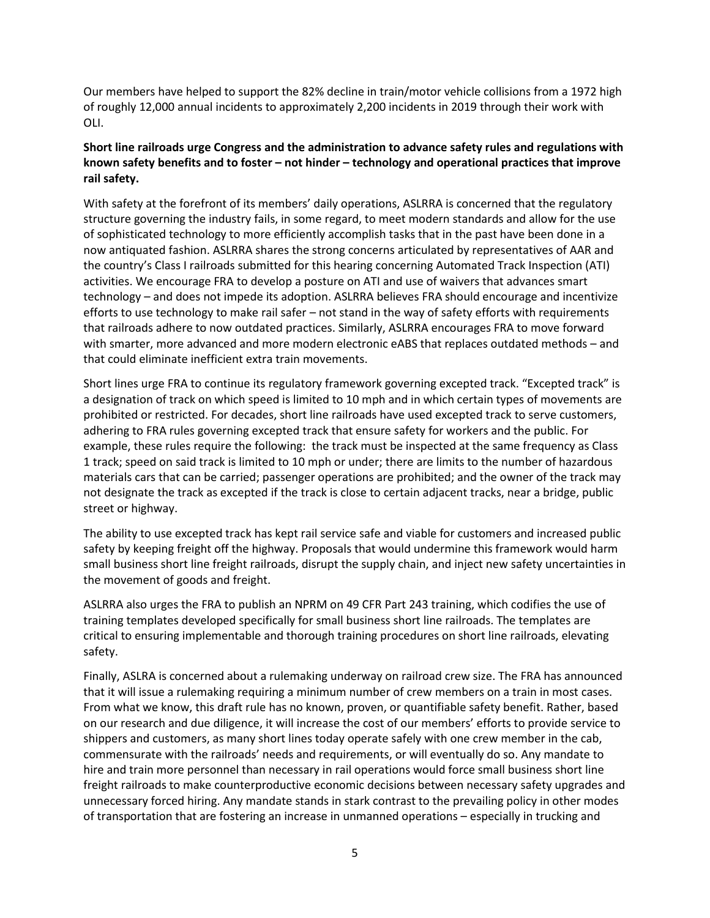Our members have helped to support the 82% decline in train/motor vehicle collisions from a 1972 high of roughly 12,000 annual incidents to approximately 2,200 incidents in 2019 through their work with OLI.

# **Short line railroads urge Congress and the administration to advance safety rules and regulations with known safety benefits and to foster – not hinder – technology and operational practices that improve rail safety.**

With safety at the forefront of its members' daily operations, ASLRRA is concerned that the regulatory structure governing the industry fails, in some regard, to meet modern standards and allow for the use of sophisticated technology to more efficiently accomplish tasks that in the past have been done in a now antiquated fashion. ASLRRA shares the strong concerns articulated by representatives of AAR and the country's Class I railroads submitted for this hearing concerning Automated Track Inspection (ATI) activities. We encourage FRA to develop a posture on ATI and use of waivers that advances smart technology – and does not impede its adoption. ASLRRA believes FRA should encourage and incentivize efforts to use technology to make rail safer – not stand in the way of safety efforts with requirements that railroads adhere to now outdated practices. Similarly, ASLRRA encourages FRA to move forward with smarter, more advanced and more modern electronic eABS that replaces outdated methods – and that could eliminate inefficient extra train movements.

Short lines urge FRA to continue its regulatory framework governing excepted track. "Excepted track" is a designation of track on which speed is limited to 10 mph and in which certain types of movements are prohibited or restricted. For decades, short line railroads have used excepted track to serve customers, adhering to FRA rules governing excepted track that ensure safety for workers and the public. For example, these rules require the following: the track must be inspected at the same frequency as Class 1 track; speed on said track is limited to 10 mph or under; there are limits to the number of hazardous materials cars that can be carried; passenger operations are prohibited; and the owner of the track may not designate the track as excepted if the track is close to certain adjacent tracks, near a bridge, public street or highway.

The ability to use excepted track has kept rail service safe and viable for customers and increased public safety by keeping freight off the highway. Proposals that would undermine this framework would harm small business short line freight railroads, disrupt the supply chain, and inject new safety uncertainties in the movement of goods and freight.

ASLRRA also urges the FRA to publish an NPRM on 49 CFR Part 243 training, which codifies the use of training templates developed specifically for small business short line railroads. The templates are critical to ensuring implementable and thorough training procedures on short line railroads, elevating safety.

Finally, ASLRA is concerned about a rulemaking underway on railroad crew size. The FRA has announced that it will issue a rulemaking requiring a minimum number of crew members on a train in most cases. From what we know, this draft rule has no known, proven, or quantifiable safety benefit. Rather, based on our research and due diligence, it will increase the cost of our members' efforts to provide service to shippers and customers, as many short lines today operate safely with one crew member in the cab, commensurate with the railroads' needs and requirements, or will eventually do so. Any mandate to hire and train more personnel than necessary in rail operations would force small business short line freight railroads to make counterproductive economic decisions between necessary safety upgrades and unnecessary forced hiring. Any mandate stands in stark contrast to the prevailing policy in other modes of transportation that are fostering an increase in unmanned operations – especially in trucking and